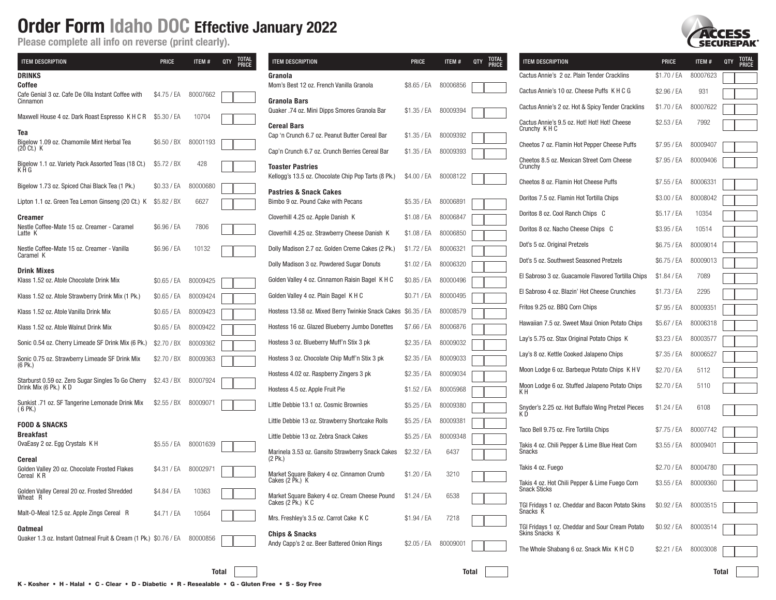**Please complete all info on reverse (print clearly).**

| <b>ITEM DESCRIPTION</b>                                                     | <b>PRICE</b> | ITEM#    | <b>TOTAL</b><br>PRICE<br>QTY | <b>ITEM DESCRIPTION</b>                                            | <b>PRICE</b> | ITEM#    | <b>TOTAL<br/>PRICE</b><br>QTY | <b>ITEM DESCRIPTION</b>                                                  | <b>PRICE</b> | ITEM#    | <b>TOTAL</b><br>PRICE<br>QTY |
|-----------------------------------------------------------------------------|--------------|----------|------------------------------|--------------------------------------------------------------------|--------------|----------|-------------------------------|--------------------------------------------------------------------------|--------------|----------|------------------------------|
| DRINKS                                                                      |              |          |                              | Granola                                                            |              |          |                               | Cactus Annie's 2 oz. Plain Tender Cracklins                              | \$1.70 / EA  | 80007623 |                              |
| Coffee<br>Cafe Genial 3 oz. Cafe De Olla Instant Coffee with                | \$4.75 / EA  | 80007662 |                              | Mom's Best 12 oz. French Vanilla Granola                           | \$8.65 / EA  | 80006856 |                               | Cactus Annie's 10 oz. Cheese Puffs K H C G                               | \$2.96 / EA  | 931      |                              |
| Cinnamon                                                                    |              |          |                              | Granola Bars<br>Quaker .74 oz. Mini Dipps Smores Granola Bar       | \$1.35 / EA  | 80009394 |                               | Cactus Annie's 2 oz. Hot & Spicy Tender Cracklins                        | \$1.70 / EA  | 80007622 |                              |
| Maxwell House 4 oz. Dark Roast Espresso K H C R \$5.30 / EA                 |              | 10704    |                              | <b>Cereal Bars</b>                                                 |              |          |                               | Cactus Annie's 9.5 oz. Hot! Hot! Hot! Cheese                             | \$2.53 / EA  | 7992     |                              |
| Теа                                                                         |              |          |                              | Cap 'n Crunch 6.7 oz. Peanut Butter Cereal Bar                     | \$1.35 / EA  | 80009392 |                               | Crunchy K H C                                                            |              |          |                              |
| Bigelow 1.09 oz. Chamomile Mint Herbal Tea<br>(20 Ct.) K                    | \$6.50 / BX  | 80001193 |                              | Cap'n Crunch 6.7 oz. Crunch Berries Cereal Bar                     | \$1.35 / EA  | 80009393 |                               | Cheetos 7 oz. Flamin Hot Pepper Cheese Puffs                             | \$7.95 / EA  | 80009407 |                              |
| Bigelow 1.1 oz. Variety Pack Assorted Teas (18 Ct.)                         | \$5.72 / BX  | 428      |                              | <b>Toaster Pastries</b>                                            |              |          |                               | Cheetos 8.5 oz. Mexican Street Corn Cheese<br>Crunchy                    | \$7.95 / EA  | 80009406 |                              |
| K H G                                                                       |              |          |                              | Kellogg's 13.5 oz. Chocolate Chip Pop Tarts (8 Pk.)                | \$4.00 / EA  | 80008122 |                               | Cheetos 8 oz. Flamin Hot Cheese Puffs                                    | \$7.55 / EA  | 80006331 |                              |
| Bigelow 1.73 oz. Spiced Chai Black Tea (1 Pk.)                              | \$0.33 / EA  | 80000680 |                              | <b>Pastries &amp; Snack Cakes</b>                                  |              |          |                               | Doritos 7.5 oz. Flamin Hot Tortilla Chips                                | \$3.00 / EA  | 80008042 |                              |
| Lipton 1.1 oz. Green Tea Lemon Ginseng (20 Ct.) K                           | \$5.82 / BX  | 6627     |                              | Bimbo 9 oz. Pound Cake with Pecans                                 | \$5.35 / EA  | 80006891 |                               | Doritos 8 oz. Cool Ranch Chips C                                         |              | 10354    |                              |
| Creamer<br>Nestle Coffee-Mate 15 oz. Creamer - Caramel                      | \$6.96 / EA  | 7806     |                              | Cloverhill 4.25 oz. Apple Danish K                                 | \$1.08 / EA  | 80006847 |                               |                                                                          | \$5.17 / EA  |          |                              |
| Latte K                                                                     |              |          |                              | Cloverhill 4.25 oz. Strawberry Cheese Danish K                     | \$1.08 / EA  | 80006850 |                               | Doritos 8 oz. Nacho Cheese Chips C                                       | \$3.95 / EA  | 10514    |                              |
| Nestle Coffee-Mate 15 oz. Creamer - Vanilla<br>Caramel K                    | \$6.96 / EA  | 10132    |                              | Dolly Madison 2.7 oz. Golden Creme Cakes (2 Pk.)                   | \$1.72 / EA  | 80006321 |                               | Dot's 5 oz. Original Pretzels                                            | \$6.75 / EA  | 80009014 |                              |
| Drink Mixes                                                                 |              |          |                              | Dolly Madison 3 oz. Powdered Sugar Donuts                          | \$1.02 / EA  | 80006320 |                               | Dot's 5 oz. Southwest Seasoned Pretzels                                  | \$6.75 / EA  | 80009013 |                              |
| Klass 1.52 oz. Atole Chocolate Drink Mix                                    | \$0.65 / EA  | 80009425 |                              | Golden Valley 4 oz. Cinnamon Raisin Bagel K H C                    | \$0.85 / EA  | 80000496 |                               | El Sabroso 3 oz. Guacamole Flavored Tortilla Chips                       | \$1.84 / EA  | 7089     |                              |
| Klass 1.52 oz. Atole Strawberry Drink Mix (1 Pk.)                           | \$0.65 / EA  | 80009424 |                              | Golden Valley 4 oz. Plain Bagel K H C                              | \$0.71 / EA  | 80000495 |                               | El Sabroso 4 oz. Blazin' Hot Cheese Crunchies                            | \$1.73 / EA  | 2295     |                              |
| Klass 1.52 oz. Atole Vanilla Drink Mix                                      | \$0.65 / EA  | 80009423 |                              | Hostess 13.58 oz. Mixed Berry Twinkie Snack Cakes \$6.35 / EA      |              | 80008579 |                               | Fritos 9.25 oz. BBQ Corn Chips                                           | \$7.95 / EA  | 80009351 |                              |
| Klass 1.52 oz. Atole Walnut Drink Mix                                       | \$0.65 / EA  | 80009422 |                              | Hostess 16 oz. Glazed Blueberry Jumbo Donettes                     | \$7.66 / EA  | 80006876 |                               | Hawaiian 7.5 oz. Sweet Maui Onion Potato Chips                           | \$5.67 / EA  | 80006318 |                              |
| Sonic 0.54 oz. Cherry Limeade SF Drink Mix (6 Pk.)                          | \$2.70 / BX  | 80009362 |                              | Hostess 3 oz. Blueberry Muff'n Stix 3 pk                           | \$2.35 / EA  | 80009032 |                               | Lay's 5.75 oz. Stax Original Potato Chips K                              | \$3.23 / EA  | 80003577 |                              |
| Sonic 0.75 oz. Strawberry Limeade SF Drink Mix                              | \$2.70 / BX  | 80009363 |                              | Hostess 3 oz. Chocolate Chip Muff'n Stix 3 pk                      | \$2.35 / EA  | 80009033 |                               | Lay's 8 oz. Kettle Cooked Jalapeno Chips                                 | \$7.35 / EA  | 80006527 |                              |
| (6 Pk.)                                                                     |              |          |                              | Hostess 4.02 oz. Raspberry Zingers 3 pk                            | \$2.35 / EA  | 80009034 |                               | Moon Lodge 6 oz. Barbeque Potato Chips K H V                             | \$2.70 / EA  | 5112     |                              |
| Starburst 0.59 oz. Zero Sugar Singles To Go Cherry<br>Drink Mix (6 Pk.) K D | \$2.43 / BX  | 80007924 |                              | Hostess 4.5 oz. Apple Fruit Pie                                    | \$1.52 / EA  | 80005968 |                               | Moon Lodge 6 oz. Stuffed Jalapeno Potato Chips                           | \$2.70 / EA  | 5110     |                              |
| Sunkist .71 oz. SF Tangerine Lemonade Drink Mix                             | \$2.55 / BX  | 8000907  |                              |                                                                    |              |          |                               | K H                                                                      |              |          |                              |
| ( 6 PK.)                                                                    |              |          |                              | Little Debbie 13.1 oz. Cosmic Brownies                             | \$5.25 / EA  | 80009380 |                               | Snyder's 2.25 oz. Hot Buffalo Wing Pretzel Pieces<br>K D                 | $$1.24$ / EA | 6108     |                              |
| FOOD & SNACKS                                                               |              |          |                              | Little Debbie 13 oz. Strawberry Shortcake Rolls                    | \$5.25 / EA  | 80009381 |                               | Taco Bell 9.75 oz. Fire Tortilla Chips                                   | \$7.75 / EA  | 80007742 |                              |
| Breakfast<br>OvaEasy 2 oz. Egg Crystals K H                                 | \$5.55 / EA  | 80001639 |                              | Little Debbie 13 oz. Zebra Snack Cakes                             | \$5.25 / EA  | 80009348 |                               | Takis 4 oz. Chili Pepper & Lime Blue Heat Corn                           | \$3.55 / EA  | 80009401 |                              |
| Cereal                                                                      |              |          |                              | Marinela 3.53 oz. Gansito Strawberry Snack Cakes<br>$(2$ Pk.)      | \$2.32 / EA  | 6437     |                               | Snacks                                                                   |              |          |                              |
| Golden Valley 20 oz. Chocolate Frosted Flakes<br>Cereal KR                  | \$4.31 / EA  | 8000297  |                              | Market Square Bakery 4 oz. Cinnamon Crumb                          | \$1.20 / EA  | 3210     |                               | Takis 4 oz. Fuego                                                        | \$2.70 / EA  | 80004780 |                              |
| Golden Valley Cereal 20 oz. Frosted Shredded                                | \$4.84 / EA  | 10363    |                              | Cakes (2 Pk.) K                                                    |              |          |                               | Takis 4 oz. Hot Chili Pepper & Lime Fuego Corn<br><b>Snack Sticks</b>    | \$3.55 / EA  | 80009360 |                              |
| Wheat R                                                                     |              |          |                              | Market Square Bakery 4 oz. Cream Cheese Pound<br>Cakes (2 Pk.) K C | \$1.24 / EA  | 6538     |                               | TGI Fridays 1 oz. Cheddar and Bacon Potato Skins                         | \$0.92 / EA  | 80003515 |                              |
| Malt-O-Meal 12.5 oz. Apple Zings Cereal R                                   | \$4.71 / EA  | 10564    |                              | Mrs. Freshley's 3.5 oz. Carrot Cake K C                            | \$1.94 / EA  | 7218     |                               | Snacks K                                                                 |              |          |                              |
| Oatmeal                                                                     |              |          |                              | <b>Chips &amp; Snacks</b>                                          |              |          |                               | TGI Fridays 1 oz. Cheddar and Sour Cream Potato<br><b>Skins Snacks K</b> | \$0.92 / EA  | 80003514 |                              |
| Quaker 1.3 oz. Instant Oatmeal Fruit & Cream (1 Pk.) \$0.76 / EA            |              | 80000856 |                              | Andy Capp's 2 oz. Beer Battered Onion Rings                        | \$2.05 / EA  | 80009001 |                               | The Whole Shabang 6 oz. Snack Mix K H C D                                | \$2.21 / EA  | 80003008 |                              |
|                                                                             |              |          |                              |                                                                    |              |          |                               |                                                                          |              |          |                              |



K - Kosher • H - Halal • C - Clear • D - Diabetic • R - Resealable • G - Gluten Free • S - Soy Free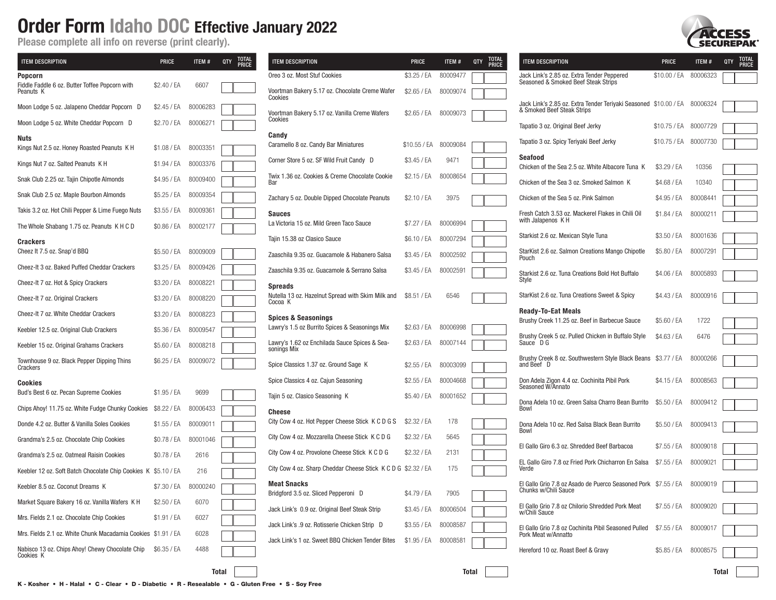**Please complete all info on reverse (print clearly).**

| <b>ITEM DESCRIPTION</b>                                        | <b>PRICE</b> | ITEM#    | <b>TOTAL</b><br>PRICE<br>QTY | <b>ITEM DESCRIPTION</b>                                                               | <b>PRICE</b> | ITEM#            | <b>TOTAL</b><br>PRICE<br>QTY | <b>ITEM DESCRIPTION</b>                                                                                 | <b>PRICE</b> | ITEM#    | <b>TOTAL</b><br>QTY<br><b>PRICE</b> |
|----------------------------------------------------------------|--------------|----------|------------------------------|---------------------------------------------------------------------------------------|--------------|------------------|------------------------------|---------------------------------------------------------------------------------------------------------|--------------|----------|-------------------------------------|
| Popcorn                                                        |              |          |                              | Oreo 3 oz. Most Stuf Cookies                                                          | \$3.25 / EA  | 80009477         |                              | Jack Link's 2.85 oz. Extra Tender Peppered<br>Seasoned & Smoked Beef Steak Strips                       | \$10.00 / EA | 80006323 |                                     |
| Fiddle Faddle 6 oz. Butter Toffee Popcorn with<br>Peanuts K    | \$2.40 / EA  | 6607     |                              | Voortman Bakery 5.17 oz. Chocolate Creme Wafer<br>Cookies                             | \$2.65 / EA  | 80009074         |                              |                                                                                                         |              |          |                                     |
| Moon Lodge 5 oz. Jalapeno Cheddar Popcorn D                    | \$2.45 / EA  | 80006283 |                              | Voortman Bakery 5.17 oz. Vanilla Creme Wafers                                         | \$2.65 / EA  | 80009073         |                              | Jack Link's 2.85 oz. Extra Tender Teriyaki Seasoned \$10.00 / EA 80006324<br>& Smoked Beef Steak Strips |              |          |                                     |
| Moon Lodge 5 oz. White Cheddar Popcorn D                       | \$2.70 / EA  | 80006271 |                              | Cookies                                                                               |              |                  |                              | Tapatio 3 oz. Original Beef Jerky                                                                       | \$10.75 / EA | 80007729 |                                     |
| Nuts                                                           |              |          |                              | Candy<br>Caramello 8 oz. Candy Bar Miniatures                                         | \$10.55 / EA | 80009084         |                              | Tapatio 3 oz. Spicy Teriyaki Beef Jerky                                                                 | \$10.75 / EA | 80007730 |                                     |
| Kings Nut 2.5 oz. Honey Roasted Peanuts K H                    | \$1.08 / EA  | 80003351 |                              | Corner Store 5 oz. SF Wild Fruit Candy D                                              | \$3.45 / EA  | 9471             |                              | Seafood                                                                                                 |              |          |                                     |
| Kings Nut 7 oz. Salted Peanuts K H                             | \$1.94 / EA  | 80003376 |                              |                                                                                       |              |                  |                              | Chicken of the Sea 2.5 oz. White Albacore Tuna K                                                        | \$3.29 / EA  | 10356    |                                     |
| Snak Club 2.25 oz. Tajin Chipotle Almonds                      | \$4.95 / EA  | 80009400 |                              | Twix 1.36 oz. Cookies & Creme Chocolate Cookie<br><b>Bar</b>                          | \$2.15 / EA  | 80008654         |                              | Chicken of the Sea 3 oz. Smoked Salmon K                                                                | \$4.68 / EA  | 10340    |                                     |
| Snak Club 2.5 oz. Maple Bourbon Almonds                        | \$5.25 / EA  | 80009354 |                              | Zachary 5 oz. Double Dipped Chocolate Peanuts                                         | \$2.10 / EA  | 3975             |                              | Chicken of the Sea 5 oz. Pink Salmon                                                                    | \$4.95 / EA  | 80008441 |                                     |
| Takis 3.2 oz. Hot Chili Pepper & Lime Fuego Nuts               | \$3.55 / EA  | 80009361 |                              | <b>Sauces</b>                                                                         |              |                  |                              | Fresh Catch 3.53 oz. Mackerel Flakes in Chili Oil                                                       | \$1.84 / EA  | 80000211 |                                     |
| The Whole Shabang 1.75 oz. Peanuts K H C D                     | \$0.86 / EA  | 80002177 |                              | La Victoria 15 oz. Mild Green Taco Sauce                                              | \$7.27 / EA  | 80006994         |                              | with Jalapenos KH                                                                                       |              |          |                                     |
| Crackers                                                       |              |          |                              | Tajin 15.38 oz Clasico Sauce                                                          | \$6.10 / EA  | 80007294         |                              | Starkist 2.6 oz. Mexican Style Tuna                                                                     | \$3.50 / EA  | 80001636 |                                     |
| Cheez It 7.5 oz. Snap'd BBQ                                    | \$5.50 / EA  | 80009009 |                              | Zaaschila 9.35 oz. Guacamole & Habanero Salsa                                         | \$3.45 / EA  | 80002592         |                              | StarKist 2.6 oz. Salmon Creations Mango Chipotle<br>Pouch                                               | \$5.80 / EA  | 80007291 |                                     |
| Cheez-It 3 oz. Baked Puffed Cheddar Crackers                   | \$3.25 / EA  | 80009426 |                              | Zaaschila 9.35 oz. Guacamole & Serrano Salsa                                          | \$3.45 / EA  | 80002591         |                              | Starkist 2.6 oz. Tuna Creations Bold Hot Buffalo                                                        | \$4.06 / EA  | 80005893 |                                     |
| Cheez-It 7 oz. Hot & Spicy Crackers                            | \$3.20 / EA  | 80008221 |                              | <b>Spreads</b>                                                                        |              |                  |                              | Style                                                                                                   |              |          |                                     |
| Cheez-It 7 oz. Original Crackers                               | \$3.20 / EA  | 80008220 |                              | Nutella 13 oz. Hazelnut Spread with Skim Milk and<br>Cocoa <sub>K</sub>               | \$8.51 / EA  | 6546             |                              | StarKist 2.6 oz. Tuna Creations Sweet & Spicy                                                           | \$4.43 / EA  | 80000916 |                                     |
| Cheez-It 7 oz. White Cheddar Crackers                          | \$3.20 / EA  | 80008223 |                              | <b>Spices &amp; Seasonings</b>                                                        |              |                  |                              | <b>Ready-To-Eat Meals</b><br>Brushy Creek 11.25 oz. Beef in Barbecue Sauce                              | \$5.60 / EA  | 1722     |                                     |
| Keebler 12.5 oz. Original Club Crackers                        | \$5.36 / EA  | 80009547 |                              | Lawry's 1.5 oz Burrito Spices & Seasonings Mix                                        | \$2.63 / EA  | 80006998         |                              |                                                                                                         |              |          |                                     |
| Keebler 15 oz. Original Grahams Crackers                       | \$5.60 / EA  | 80008218 |                              | Lawry's 1.62 oz Enchilada Sauce Spices & Sea-<br>sonings Mix                          | \$2.63 / EA  | 80007144         |                              | Brushy Creek 5 oz. Pulled Chicken in Buffalo Style<br>Sauce D G                                         | \$4.63 / EA  | 6476     |                                     |
| Townhouse 9 oz. Black Pepper Dipping Thins<br>Crackers         | \$6.25 / EA  | 80009072 |                              | Spice Classics 1.37 oz. Ground Sage K                                                 | \$2.55 / EA  | 80003099         |                              | Brushy Creek 8 oz. Southwestern Style Black Beans \$3.77 / EA<br>and Beef D                             |              | 80000266 |                                     |
| Cookies                                                        |              |          |                              | Spice Classics 4 oz. Cajun Seasoning                                                  | \$2.55 / EA  | 80004668         |                              | Don Adela Zigon 4.4 oz. Cochinita Pibil Pork                                                            | \$4.15 / EA  | 80008563 |                                     |
| Bud's Best 6 oz. Pecan Supreme Cookies                         | \$1.95 / EA  | 9699     |                              | Tajin 5 oz. Clasico Seasoning K                                                       | \$5.40 / EA  | 80001652         |                              | Seasoned W/Annato                                                                                       |              |          |                                     |
| Chips Ahoy! 11.75 oz. White Fudge Chunky Cookies               | \$8.22 / EA  | 80006433 |                              | <b>Cheese</b>                                                                         |              |                  |                              | Dona Adela 10 oz. Green Salsa Charro Bean Burrito<br>Bowl                                               | \$5.50 / EA  | 80009412 |                                     |
| Donde 4.2 oz. Butter & Vanilla Soles Cookies                   | \$1.55 / EA  | 80009011 |                              | City Cow 4 oz. Hot Pepper Cheese Stick K C D G S                                      | \$2.32 / EA  | 178              |                              | Dona Adela 10 oz. Red Salsa Black Bean Burrito<br><b>Bowl</b>                                           | \$5.50 / EA  | 80009413 |                                     |
| Grandma's 2.5 oz. Chocolate Chip Cookies                       | \$0.78 / EA  | 80001046 |                              | City Cow 4 oz. Mozzarella Cheese Stick K C D G                                        | \$2.32 / EA  | 5645             |                              |                                                                                                         |              |          |                                     |
| Grandma's 2.5 oz. Oatmeal Raisin Cookies                       | \$0.78 / EA  | 2616     |                              | City Cow 4 oz. Provolone Cheese Stick K C D G                                         | \$2.32 / EA  | 2131             |                              | El Gallo Giro 6.3 oz. Shredded Beef Barbacoa                                                            | \$7.55 / EA  | 80009018 |                                     |
| Keebler 12 oz. Soft Batch Chocolate Chip Cookies K \$5.10 / EA |              | 216      |                              | City Cow 4 oz. Sharp Cheddar Cheese Stick K C D G \$2.32 / EA                         |              | 175              |                              | EL Gallo Giro 7.8 oz Fried Pork Chicharron En Salsa<br>Verde                                            | \$7.55 / EA  | 80009021 |                                     |
| Keebler 8.5 oz. Coconut Dreams K                               | \$7.30 / EA  | 80000240 |                              | <b>Meat Snacks</b>                                                                    |              |                  |                              | El Gallo Grio 7.8 oz Asado de Puerco Seasoned Pork \$7.55 / EA<br>Chunks w/Chili Sauce                  |              | 80009019 |                                     |
| Market Square Bakery 16 oz. Vanilla Wafers K H                 | \$2.50 / EA  | 6070     |                              | Bridgford 3.5 oz. Sliced Pepperoni D<br>Jack Link's 0.9 oz. Original Beef Steak Strip | \$4.79 / EA  | 7905<br>80006504 |                              | El Gallo Grio 7.8 oz Chilorio Shredded Pork Meat                                                        | \$7.55 / EA  | 80009020 |                                     |
| Mrs. Fields 2.1 oz. Chocolate Chip Cookies                     | \$1.91 / EA  | 6027     |                              |                                                                                       | \$3.45 / EA  |                  |                              | w/Chili Sauce                                                                                           |              |          |                                     |
| Mrs. Fields 2.1 oz. White Chunk Macadamia Cookies \$1.91 / EA  |              | 6028     |                              | Jack Link's .9 oz. Rotisserie Chicken Strip D                                         | \$3.55 / EA  | 80008587         |                              | El Gallo Grio 7.8 oz Cochinita Pibil Seasoned Pulled<br>Pork Meat w/Annatto                             | \$7.55 / EA  | 80009017 |                                     |
| Nabisco 13 oz. Chips Ahoy! Chewy Chocolate Chip<br>Cookies K   | \$6.35 / EA  | 4488     |                              | Jack Link's 1 oz. Sweet BBQ Chicken Tender Bites                                      | \$1.95 / EA  | 80008581         |                              | Hereford 10 oz. Roast Beef & Gravy                                                                      | \$5.85 / EA  | 80008575 |                                     |
|                                                                |              |          |                              |                                                                                       |              |                  |                              |                                                                                                         |              |          |                                     |

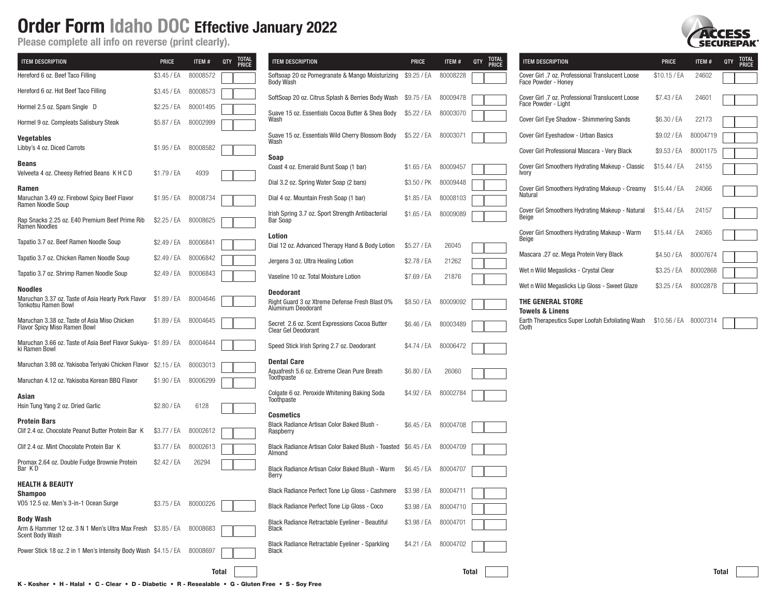**Please complete all info on reverse (print clearly).**

| <b>ITEM DESCRIPTION</b>                                                                          | <b>PRICE</b> | <b>TOTAL<br/>PRICE</b><br>QTY<br>ITEM# | <b>ITEM DESCRIPTION</b>                                                                  | <b>PRICE</b> | ITEM#<br>QTY | TOTAL<br>PRICE | <b>ITEM DESCRIPTION</b>                                                                 | <b>PRICE</b>          | ITEM#    | TOTAL<br>PRICE<br>QTY |
|--------------------------------------------------------------------------------------------------|--------------|----------------------------------------|------------------------------------------------------------------------------------------|--------------|--------------|----------------|-----------------------------------------------------------------------------------------|-----------------------|----------|-----------------------|
| Hereford 6 oz. Beef Taco Filling                                                                 | \$3.45 / EA  | 80008572                               | Softsoap 20 oz Pomegranate & Mango Moisturizing<br><b>Body Wash</b>                      | \$9.25 / EA  | 80008228     |                | Cover Girl .7 oz. Professional Translucent Loose<br>Face Powder - Honey                 | \$10.15 / EA          | 24602    |                       |
| Hereford 6 oz. Hot Beef Taco Filling                                                             | \$3.45 / EA  | 80008573                               | SoftSoap 20 oz. Citrus Splash & Berries Body Wash \$9.75 / EA                            |              | 80009478     |                | Cover Girl .7 oz. Professional Translucent Loose                                        | \$7.43 / EA           | 24601    |                       |
| Hormel 2.5 oz. Spam Single D                                                                     | \$2.25 / EA  | 80001495                               | Suave 15 oz. Essentials Cocoa Butter & Shea Body<br>Wash                                 | \$5.22 / EA  | 80003070     |                | Face Powder - Light<br>Cover Girl Eye Shadow - Shimmering Sands                         | \$6.30 / EA           | 22173    |                       |
| Hormel 9 oz. Compleats Salisbury Steak                                                           | \$5.87 / EA  | 80002999                               |                                                                                          |              |              |                |                                                                                         |                       |          |                       |
| Vegetables                                                                                       |              |                                        | Suave 15 oz. Essentials Wild Cherry Blossom Body<br>Wash                                 | \$5.22 / EA  | 80003071     |                | Cover Girl Eyeshadow - Urban Basics                                                     | \$9.02 / EA           | 80004719 |                       |
| Libby's 4 oz. Diced Carrots                                                                      | \$1.95 / EA  | 80008582                               | Soap                                                                                     |              |              |                | Cover Girl Professional Mascara - Very Black                                            | \$9.53 / EA           | 80001175 |                       |
| Beans<br>Velveeta 4 oz. Cheesy Refried Beans K H C D                                             | $$1.79$ / EA | 4939                                   | Coast 4 oz. Emerald Burst Soap (1 bar)                                                   | \$1.65 / EA  | 80009457     |                | Cover Girl Smoothers Hydrating Makeup - Classic<br>Ivory                                | \$15.44 / EA          | 24155    |                       |
|                                                                                                  |              |                                        | Dial 3.2 oz. Spring Water Soap (2 bars)                                                  | \$3.50 / PK  | 80009448     |                |                                                                                         | \$15.44 / EA          |          |                       |
| Ramen<br>Maruchan 3.49 oz. Firebowl Spicy Beef Flavor<br>Ramen Noodle Soup                       | \$1.95 / EA  | 80008734                               | Dial 4 oz. Mountain Fresh Soap (1 bar)                                                   | \$1.85 / EA  | 80008103     |                | Cover Girl Smoothers Hydrating Makeup - Creamy<br>Natural                               |                       | 24066    |                       |
| Rap Snacks 2.25 oz. E40 Premium Beef Prime Rib<br>Ramen Noodles                                  | \$2.25 / EA  | 80008625                               | Irish Spring 3.7 oz. Sport Strength Antibacterial<br>Bar Soap                            | \$1.65 / EA  | 80009089     |                | Cover Girl Smoothers Hydrating Makeup - Natural<br>Beige                                | \$15.44 / EA          | 24157    |                       |
| Tapatio 3.7 oz. Beef Ramen Noodle Soup                                                           | \$2.49 / EA  | 80006841                               | Lotion                                                                                   |              |              |                | Cover Girl Smoothers Hydrating Makeup - Warm<br>Beige                                   | \$15.44 / EA          | 24065    |                       |
|                                                                                                  |              |                                        | Dial 12 oz. Advanced Therapy Hand & Body Lotion                                          | \$5.27 / EA  | 26045        |                | Mascara .27 oz. Mega Protein Very Black                                                 | \$4.50 / EA           | 80007674 |                       |
| Tapatio 3.7 oz. Chicken Ramen Noodle Soup                                                        | \$2.49 / EA  | 80006842                               | Jergens 3 oz. Ultra Healing Lotion                                                       | \$2.78 / EA  | 21262        |                | Wet n Wild Megaslicks - Crystal Clear                                                   | \$3.25 / EA           | 80002868 |                       |
| Tapatio 3.7 oz. Shrimp Ramen Noodle Soup                                                         | $$2.49$ / EA | 80006843                               | Vaseline 10 oz. Total Moisture Lotion                                                    | \$7.69 / EA  | 21876        |                |                                                                                         |                       |          |                       |
| Noodles<br>Maruchan 3.37 oz. Taste of Asia Hearty Pork Flavor \$1.89 / EA<br>Tonkotsu Ramen Bowl |              | 80004646                               | <b>Deodorant</b><br>Right Guard 3 oz Xtreme Defense Fresh Blast 0%<br>Aluminum Deodorant | \$8.50 / EA  | 80009092     |                | Wet n Wild Megaslicks Lip Gloss - Sweet Glaze<br>THE GENERAL STORE                      | \$3.25 / EA           | 80002878 |                       |
| Maruchan 3.38 oz. Taste of Asia Miso Chicken<br><b>Flavor Spicy Miso Ramen Bowl</b>              | \$1.89 / EA  | 80004645                               | Secret 2.6 oz. Scent Expressions Cocoa Butter<br><b>Clear Gel Deodorant</b>              | \$6.46 / EA  | 80003489     |                | <b>Towels &amp; Linens</b><br>Earth Therapeutics Super Loofah Exfoliating Wash<br>Cloth | \$10.56 / EA 80007314 |          |                       |
| Maruchan 3.66 oz. Taste of Asia Beef Flavor Sukiya- \$1.89 / EA<br>ki Ramen Bowl                 |              | 80004644                               | Speed Stick Irish Spring 2.7 oz. Deodorant                                               | \$4.74 / EA  | 80006472     |                |                                                                                         |                       |          |                       |
| Maruchan 3.98 oz. Yakisoba Teriyaki Chicken Flavor \$2.15 / EA                                   |              | 80003013                               | <b>Dental Care</b><br>Aquafresh 5.6 oz. Extreme Clean Pure Breath                        | \$6.80 / EA  | 26060        |                |                                                                                         |                       |          |                       |
| Maruchan 4.12 oz. Yakisoba Korean BBQ Flavor                                                     | \$1.90 / EA  | 80006299                               | Toothpaste                                                                               |              |              |                |                                                                                         |                       |          |                       |
| Asian<br>Hsin Tung Yang 2 oz. Dried Garlic                                                       | \$2.80 / EA  | 6128                                   | Colgate 6 oz. Peroxide Whitening Baking Soda<br>Toothpaste                               | \$4.92 / EA  | 80002784     |                |                                                                                         |                       |          |                       |
| Protein Bars<br>Clif 2.4 oz. Chocolate Peanut Butter Protein Bar K                               | \$3.77 / EA  | 80002612                               | <b>Cosmetics</b><br>Black Radiance Artisan Color Baked Blush -<br>Raspberry              | \$6.45 / EA  | 80004708     |                |                                                                                         |                       |          |                       |
| Clif 2.4 oz. Mint Chocolate Protein Bar K                                                        | \$3.77 / EA  | 80002613                               | Black Radiance Artisan Color Baked Blush - Toasted \$6.45 / EA<br>Almond                 |              | 80004709     |                |                                                                                         |                       |          |                       |
| Promax 2.64 oz. Double Fudge Brownie Protein<br>Bar KD                                           | \$2.42 / EA  | 26294                                  | Black Radiance Artisan Color Baked Blush - Warm<br>Berry                                 | \$6.45 / EA  | 80004707     |                |                                                                                         |                       |          |                       |
| HEALTH & BEAUTY                                                                                  |              |                                        | Black Radiance Perfect Tone Lip Gloss - Cashmere \$3.98 / EA                             |              | 80004711     |                |                                                                                         |                       |          |                       |
| <b>Shampoo</b><br>V05 12.5 oz. Men's 3-in-1 Ocean Surge                                          | \$3.75 / EA  | 80000226                               |                                                                                          |              |              |                |                                                                                         |                       |          |                       |
| Body Wash                                                                                        |              |                                        | Black Radiance Perfect Tone Lip Gloss - Coco                                             | \$3.98 / EA  | 80004710     |                |                                                                                         |                       |          |                       |
| Arm & Hammer 12 oz. 3 N 1 Men's Ultra Max Fresh \$3.85 / EA 80008683<br><b>Scent Body Wash</b>   |              |                                        | Black Radiance Retractable Eyeliner - Beautiful<br><b>Black</b>                          | \$3.98 / EA  | 80004701     |                |                                                                                         |                       |          |                       |
| Power Stick 18 oz. 2 in 1 Men's Intensity Body Wash \$4.15 / EA                                  |              | 80008697                               | Black Radiance Retractable Eyeliner - Sparkling<br><b>Black</b>                          | \$4.21 / EA  | 80004702     |                |                                                                                         |                       |          |                       |
|                                                                                                  |              | Total                                  |                                                                                          |              | Total        |                |                                                                                         |                       |          | Total                 |